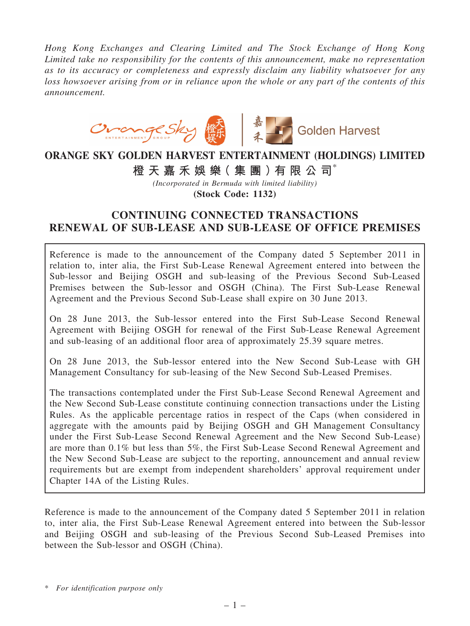*Hong Kong Exchanges and Clearing Limited and The Stock Exchange of Hong Kong Limited take no responsibility for the contents of this announcement, make no representation as to its accuracy or completeness and expressly disclaim any liability whatsoever for any loss howsoever arising from or in reliance upon the whole or any part of the contents of this announcement.*



# ORANGE SKY GOLDEN HARVEST ENTERTAINMENT (HOLDINGS) LIMITED

橙 天 嘉 禾 娛 樂 (集 團 ) 有 限 公 司 $^*$ 

*(Incorporated in Bermuda with limited liability)* (Stock Code: 1132)

# CONTINUING CONNECTED TRANSACTIONS RENEWAL OF SUB-LEASE AND SUB-LEASE OF OFFICE PREMISES

Reference is made to the announcement of the Company dated 5 September 2011 in relation to, inter alia, the First Sub-Lease Renewal Agreement entered into between the Sub-lessor and Beijing OSGH and sub-leasing of the Previous Second Sub-Leased Premises between the Sub-lessor and OSGH (China). The First Sub-Lease Renewal Agreement and the Previous Second Sub-Lease shall expire on 30 June 2013.

On 28 June 2013, the Sub-lessor entered into the First Sub-Lease Second Renewal Agreement with Beijing OSGH for renewal of the First Sub-Lease Renewal Agreement and sub-leasing of an additional floor area of approximately 25.39 square metres.

On 28 June 2013, the Sub-lessor entered into the New Second Sub-Lease with GH Management Consultancy for sub-leasing of the New Second Sub-Leased Premises.

The transactions contemplated under the First Sub-Lease Second Renewal Agreement and the New Second Sub-Lease constitute continuing connection transactions under the Listing Rules. As the applicable percentage ratios in respect of the Caps (when considered in aggregate with the amounts paid by Beijing OSGH and GH Management Consultancy under the First Sub-Lease Second Renewal Agreement and the New Second Sub-Lease) are more than 0.1% but less than 5%, the First Sub-Lease Second Renewal Agreement and the New Second Sub-Lease are subject to the reporting, announcement and annual review requirements but are exempt from independent shareholders' approval requirement under Chapter 14A of the Listing Rules.

Reference is made to the announcement of the Company dated 5 September 2011 in relation to, inter alia, the First Sub-Lease Renewal Agreement entered into between the Sub-lessor and Beijing OSGH and sub-leasing of the Previous Second Sub-Leased Premises into between the Sub-lessor and OSGH (China).

\* *For identification purpose only*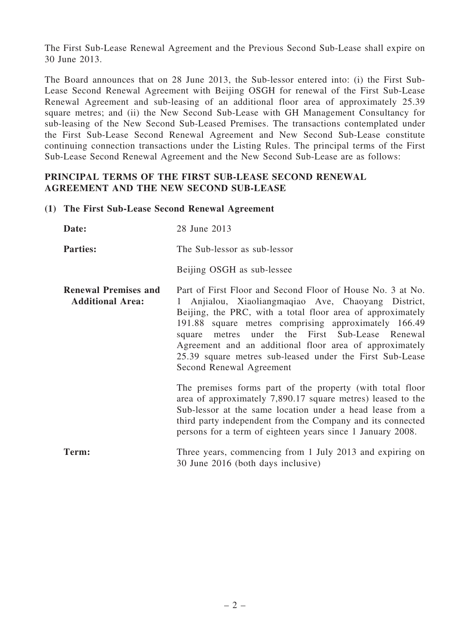The First Sub-Lease Renewal Agreement and the Previous Second Sub-Lease shall expire on 30 June 2013.

The Board announces that on 28 June 2013, the Sub-lessor entered into: (i) the First Sub-Lease Second Renewal Agreement with Beijing OSGH for renewal of the First Sub-Lease Renewal Agreement and sub-leasing of an additional floor area of approximately 25.39 square metres; and (ii) the New Second Sub-Lease with GH Management Consultancy for sub-leasing of the New Second Sub-Leased Premises. The transactions contemplated under the First Sub-Lease Second Renewal Agreement and New Second Sub-Lease constitute continuing connection transactions under the Listing Rules. The principal terms of the First Sub-Lease Second Renewal Agreement and the New Second Sub-Lease are as follows:

### PRINCIPAL TERMS OF THE FIRST SUB-LEASE SECOND RENEWAL AGREEMENT AND THE NEW SECOND SUB-LEASE

#### (1) The First Sub-Lease Second Renewal Agreement

| Date:                                                  | 28 June 2013                                                                                                                                                                                                                                                                                                                                                                                                                                |  |
|--------------------------------------------------------|---------------------------------------------------------------------------------------------------------------------------------------------------------------------------------------------------------------------------------------------------------------------------------------------------------------------------------------------------------------------------------------------------------------------------------------------|--|
| <b>Parties:</b>                                        | The Sub-lessor as sub-lessor                                                                                                                                                                                                                                                                                                                                                                                                                |  |
|                                                        | Beijing OSGH as sub-lessee                                                                                                                                                                                                                                                                                                                                                                                                                  |  |
| <b>Renewal Premises and</b><br><b>Additional Area:</b> | Part of First Floor and Second Floor of House No. 3 at No.<br>Anjialou, Xiaoliangmaqiao Ave, Chaoyang District,<br>Beijing, the PRC, with a total floor area of approximately<br>191.88 square metres comprising approximately 166.49<br>square metres under the First Sub-Lease Renewal<br>Agreement and an additional floor area of approximately<br>25.39 square metres sub-leased under the First Sub-Lease<br>Second Renewal Agreement |  |
|                                                        | The premises forms part of the property (with total floor<br>area of approximately 7,890.17 square metres) leased to the<br>Sub-lessor at the same location under a head lease from a<br>third party independent from the Company and its connected<br>persons for a term of eighteen years since 1 January 2008.                                                                                                                           |  |
| Term:                                                  | Three years, commencing from 1 July 2013 and expiring on<br>30 June 2016 (both days inclusive)                                                                                                                                                                                                                                                                                                                                              |  |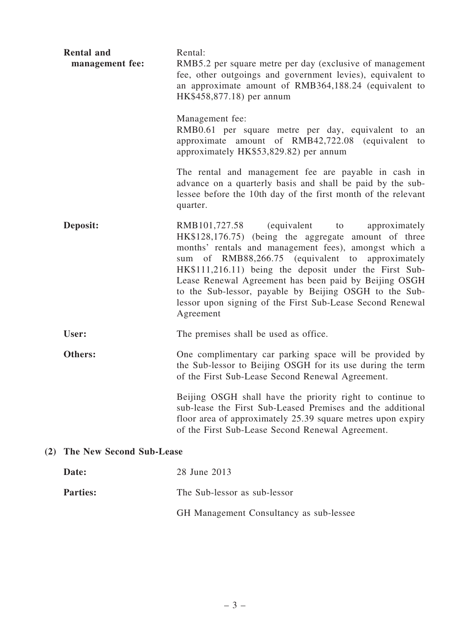| <b>Rental and</b><br>management fee: | Rental:<br>RMB5.2 per square metre per day (exclusive of management<br>fee, other outgoings and government levies), equivalent to<br>an approximate amount of RMB364,188.24 (equivalent to<br>HK\$458,877.18) per annum                                                                                                                                                                                                                                                   |  |
|--------------------------------------|---------------------------------------------------------------------------------------------------------------------------------------------------------------------------------------------------------------------------------------------------------------------------------------------------------------------------------------------------------------------------------------------------------------------------------------------------------------------------|--|
|                                      | Management fee:<br>RMB0.61 per square metre per day, equivalent to<br>an<br>approximate amount of RMB42,722.08 (equivalent<br>to<br>approximately HK\$53,829.82) per annum                                                                                                                                                                                                                                                                                                |  |
|                                      | The rental and management fee are payable in cash in<br>advance on a quarterly basis and shall be paid by the sub-<br>lessee before the 10th day of the first month of the relevant<br>quarter.                                                                                                                                                                                                                                                                           |  |
| Deposit:                             | RMB101,727.58 (equivalent to<br>approximately<br>HK\$128,176.75) (being the aggregate amount of three<br>months' rentals and management fees), amongst which a<br>sum of RMB88,266.75 (equivalent to approximately<br>HK\$111,216.11) being the deposit under the First Sub-<br>Lease Renewal Agreement has been paid by Beijing OSGH<br>to the Sub-lessor, payable by Beijing OSGH to the Sub-<br>lessor upon signing of the First Sub-Lease Second Renewal<br>Agreement |  |
| User:                                | The premises shall be used as office.                                                                                                                                                                                                                                                                                                                                                                                                                                     |  |
| Others:                              | One complimentary car parking space will be provided by<br>the Sub-lessor to Beijing OSGH for its use during the term<br>of the First Sub-Lease Second Renewal Agreement.                                                                                                                                                                                                                                                                                                 |  |
|                                      | Beijing OSGH shall have the priority right to continue to<br>sub-lease the First Sub-Leased Premises and the additional<br>floor area of approximately 25.39 square metres upon expiry<br>of the First Sub-Lease Second Renewal Agreement.                                                                                                                                                                                                                                |  |
| <b>The New Second Sub-Lease</b>      |                                                                                                                                                                                                                                                                                                                                                                                                                                                                           |  |
| Date:                                | 28 June 2013                                                                                                                                                                                                                                                                                                                                                                                                                                                              |  |
| <b>Parties:</b>                      | The Sub-lessor as sub-lessor                                                                                                                                                                                                                                                                                                                                                                                                                                              |  |

GH Management Consultancy as sub-lessee

 $(2)$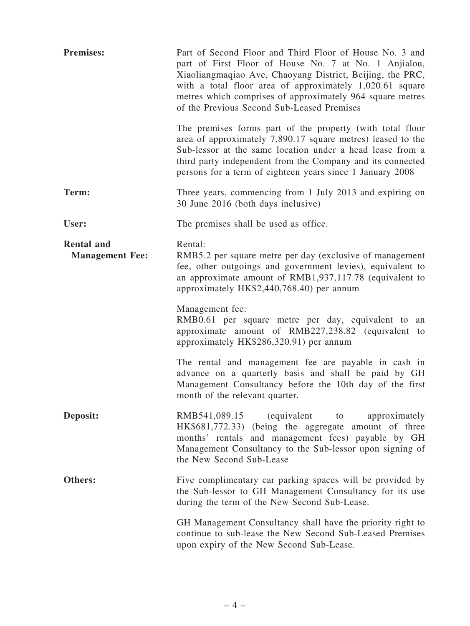| <b>Premises:</b>                            | Part of Second Floor and Third Floor of House No. 3 and<br>part of First Floor of House No. 7 at No. 1 Anjialou,<br>Xiaoliangmaqiao Ave, Chaoyang District, Beijing, the PRC,<br>with a total floor area of approximately $1,020.61$ square<br>metres which comprises of approximately 964 square metres<br>of the Previous Second Sub-Leased Premises |  |
|---------------------------------------------|--------------------------------------------------------------------------------------------------------------------------------------------------------------------------------------------------------------------------------------------------------------------------------------------------------------------------------------------------------|--|
|                                             | The premises forms part of the property (with total floor<br>area of approximately 7,890.17 square metres) leased to the<br>Sub-lessor at the same location under a head lease from a<br>third party independent from the Company and its connected<br>persons for a term of eighteen years since 1 January 2008                                       |  |
| Term:                                       | Three years, commencing from 1 July 2013 and expiring on<br>30 June 2016 (both days inclusive)                                                                                                                                                                                                                                                         |  |
| User:                                       | The premises shall be used as office.                                                                                                                                                                                                                                                                                                                  |  |
| <b>Rental and</b><br><b>Management Fee:</b> | Rental:<br>RMB5.2 per square metre per day (exclusive of management<br>fee, other outgoings and government levies), equivalent to<br>an approximate amount of RMB1,937,117.78 (equivalent to<br>approximately HK\$2,440,768.40) per annum                                                                                                              |  |
|                                             | Management fee:<br>RMB0.61 per square metre per day, equivalent to<br>an<br>approximate amount of RMB227,238.82 (equivalent to<br>approximately HK\$286,320.91) per annum                                                                                                                                                                              |  |
|                                             | The rental and management fee are payable in cash in<br>advance on a quarterly basis and shall be paid by GH<br>Management Consultancy before the 10th day of the first<br>month of the relevant quarter.                                                                                                                                              |  |
| Deposit:                                    | RMB541,089.15<br>(equivalent to<br>approximately<br>HK\$681,772.33) (being the aggregate amount of three<br>months' rentals and management fees) payable by GH<br>Management Consultancy to the Sub-lessor upon signing of<br>the New Second Sub-Lease                                                                                                 |  |
| Others:                                     | Five complimentary car parking spaces will be provided by<br>the Sub-lessor to GH Management Consultancy for its use<br>during the term of the New Second Sub-Lease.                                                                                                                                                                                   |  |
|                                             | GH Management Consultancy shall have the priority right to<br>continue to sub-lease the New Second Sub-Leased Premises<br>upon expiry of the New Second Sub-Lease.                                                                                                                                                                                     |  |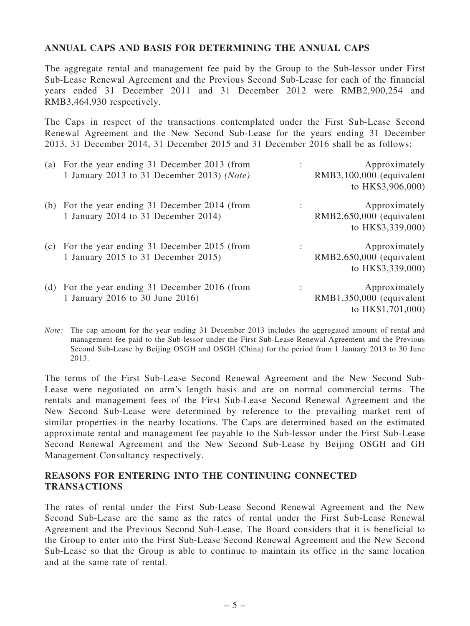# ANNUAL CAPS AND BASIS FOR DETERMINING THE ANNUAL CAPS

The aggregate rental and management fee paid by the Group to the Sub-lessor under First Sub-Lease Renewal Agreement and the Previous Second Sub-Lease for each of the financial years ended 31 December 2011 and 31 December 2012 were RMB2,900,254 and RMB3,464,930 respectively.

The Caps in respect of the transactions contemplated under the First Sub-Lease Second Renewal Agreement and the New Second Sub-Lease for the years ending 31 December 2013, 31 December 2014, 31 December 2015 and 31 December 2016 shall be as follows:

| (a) For the year ending 31 December 2013 (from<br>1 January 2013 to 31 December 2013) (Note) | Approximately<br>RMB3,100,000 (equivalent<br>to HK\$3,906,000)   |
|----------------------------------------------------------------------------------------------|------------------------------------------------------------------|
| (b) For the year ending 31 December 2014 (from<br>1 January 2014 to 31 December 2014)        | Approximately<br>RMB2,650,000 (equivalent<br>to HK\$3,339,000)   |
| (c) For the year ending 31 December 2015 (from<br>1 January 2015 to 31 December 2015)        | Approximately<br>RMB2,650,000 (equivalent<br>to HK\$3,339,000)   |
| (d) For the year ending 31 December 2016 (from<br>1 January 2016 to 30 June 2016)            | Approximately<br>$RMB1,350,000$ (equivalent<br>to HK\$1,701,000) |

*Note:* The cap amount for the year ending 31 December 2013 includes the aggregated amount of rental and management fee paid to the Sub-lessor under the First Sub-Lease Renewal Agreement and the Previous Second Sub-Lease by Beijing OSGH and OSGH (China) for the period from 1 January 2013 to 30 June 2013.

The terms of the First Sub-Lease Second Renewal Agreement and the New Second Sub-Lease were negotiated on arm's length basis and are on normal commercial terms. The rentals and management fees of the First Sub-Lease Second Renewal Agreement and the New Second Sub-Lease were determined by reference to the prevailing market rent of similar properties in the nearby locations. The Caps are determined based on the estimated approximate rental and management fee payable to the Sub-lessor under the First Sub-Lease Second Renewal Agreement and the New Second Sub-Lease by Beijing OSGH and GH Management Consultancy respectively.

# REASONS FOR ENTERING INTO THE CONTINUING CONNECTED TRANSACTIONS

The rates of rental under the First Sub-Lease Second Renewal Agreement and the New Second Sub-Lease are the same as the rates of rental under the First Sub-Lease Renewal Agreement and the Previous Second Sub-Lease. The Board considers that it is beneficial to the Group to enter into the First Sub-Lease Second Renewal Agreement and the New Second Sub-Lease so that the Group is able to continue to maintain its office in the same location and at the same rate of rental.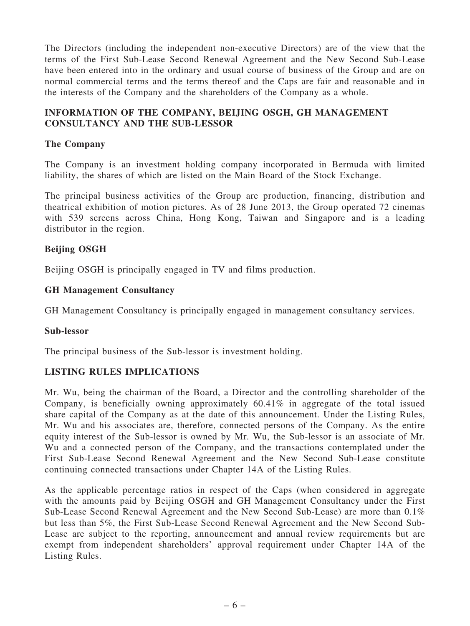The Directors (including the independent non-executive Directors) are of the view that the terms of the First Sub-Lease Second Renewal Agreement and the New Second Sub-Lease have been entered into in the ordinary and usual course of business of the Group and are on normal commercial terms and the terms thereof and the Caps are fair and reasonable and in the interests of the Company and the shareholders of the Company as a whole.

# INFORMATION OF THE COMPANY, BEIJING OSGH, GH MANAGEMENT CONSULTANCY AND THE SUB-LESSOR

# The Company

The Company is an investment holding company incorporated in Bermuda with limited liability, the shares of which are listed on the Main Board of the Stock Exchange.

The principal business activities of the Group are production, financing, distribution and theatrical exhibition of motion pictures. As of 28 June 2013, the Group operated 72 cinemas with 539 screens across China, Hong Kong, Taiwan and Singapore and is a leading distributor in the region.

# Beijing OSGH

Beijing OSGH is principally engaged in TV and films production.

### GH Management Consultancy

GH Management Consultancy is principally engaged in management consultancy services.

### Sub-lessor

The principal business of the Sub-lessor is investment holding.

### LISTING RULES IMPLICATIONS

Mr. Wu, being the chairman of the Board, a Director and the controlling shareholder of the Company, is beneficially owning approximately 60.41% in aggregate of the total issued share capital of the Company as at the date of this announcement. Under the Listing Rules, Mr. Wu and his associates are, therefore, connected persons of the Company. As the entire equity interest of the Sub-lessor is owned by Mr. Wu, the Sub-lessor is an associate of Mr. Wu and a connected person of the Company, and the transactions contemplated under the First Sub-Lease Second Renewal Agreement and the New Second Sub-Lease constitute continuing connected transactions under Chapter 14A of the Listing Rules.

As the applicable percentage ratios in respect of the Caps (when considered in aggregate with the amounts paid by Beijing OSGH and GH Management Consultancy under the First Sub-Lease Second Renewal Agreement and the New Second Sub-Lease) are more than 0.1% but less than 5%, the First Sub-Lease Second Renewal Agreement and the New Second Sub-Lease are subject to the reporting, announcement and annual review requirements but are exempt from independent shareholders' approval requirement under Chapter 14A of the Listing Rules.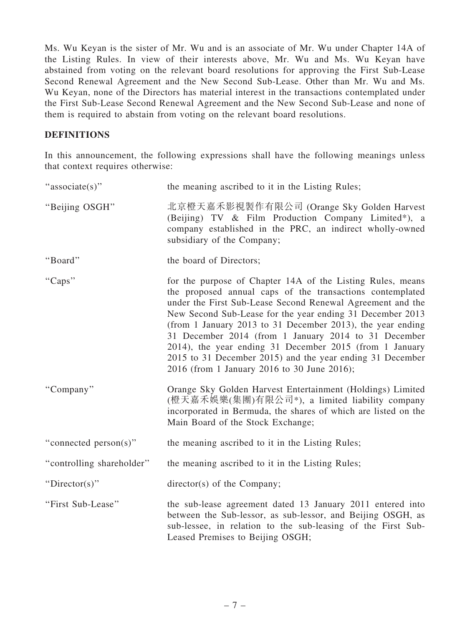Ms. Wu Keyan is the sister of Mr. Wu and is an associate of Mr. Wu under Chapter 14A of the Listing Rules. In view of their interests above, Mr. Wu and Ms. Wu Keyan have abstained from voting on the relevant board resolutions for approving the First Sub-Lease Second Renewal Agreement and the New Second Sub-Lease. Other than Mr. Wu and Ms. Wu Keyan, none of the Directors has material interest in the transactions contemplated under the First Sub-Lease Second Renewal Agreement and the New Second Sub-Lease and none of them is required to abstain from voting on the relevant board resolutions.

### DEFINITIONS

In this announcement, the following expressions shall have the following meanings unless that context requires otherwise:

| "associate(s)"            | the meaning ascribed to it in the Listing Rules;                                                                                                                                                                                                                                                                                                                                                                                                                                                                                                |
|---------------------------|-------------------------------------------------------------------------------------------------------------------------------------------------------------------------------------------------------------------------------------------------------------------------------------------------------------------------------------------------------------------------------------------------------------------------------------------------------------------------------------------------------------------------------------------------|
| "Beijing OSGH"            | 北京橙天嘉禾影視製作有限公司 (Orange Sky Golden Harvest<br>(Beijing) TV & Film Production Company Limited*), a<br>company established in the PRC, an indirect wholly-owned<br>subsidiary of the Company;                                                                                                                                                                                                                                                                                                                                                      |
| "Board"                   | the board of Directors;                                                                                                                                                                                                                                                                                                                                                                                                                                                                                                                         |
| "Caps"                    | for the purpose of Chapter 14A of the Listing Rules, means<br>the proposed annual caps of the transactions contemplated<br>under the First Sub-Lease Second Renewal Agreement and the<br>New Second Sub-Lease for the year ending 31 December 2013<br>(from 1 January 2013 to 31 December 2013), the year ending<br>31 December 2014 (from 1 January 2014 to 31 December<br>2014), the year ending 31 December 2015 (from 1 January<br>2015 to 31 December 2015) and the year ending 31 December<br>2016 (from 1 January 2016 to 30 June 2016); |
| "Company"                 | Orange Sky Golden Harvest Entertainment (Holdings) Limited<br>(橙天嘉禾娛樂(集團)有限公司*), a limited liability company<br>incorporated in Bermuda, the shares of which are listed on the<br>Main Board of the Stock Exchange;                                                                                                                                                                                                                                                                                                                             |
| "connected person(s)"     | the meaning ascribed to it in the Listing Rules;                                                                                                                                                                                                                                                                                                                                                                                                                                                                                                |
| "controlling shareholder" | the meaning ascribed to it in the Listing Rules;                                                                                                                                                                                                                                                                                                                                                                                                                                                                                                |
| "Director(s)"             | director(s) of the Company;                                                                                                                                                                                                                                                                                                                                                                                                                                                                                                                     |
| "First Sub-Lease"         | the sub-lease agreement dated 13 January 2011 entered into<br>between the Sub-lessor, as sub-lessor, and Beijing OSGH, as<br>sub-lessee, in relation to the sub-leasing of the First Sub-<br>Leased Premises to Beijing OSGH;                                                                                                                                                                                                                                                                                                                   |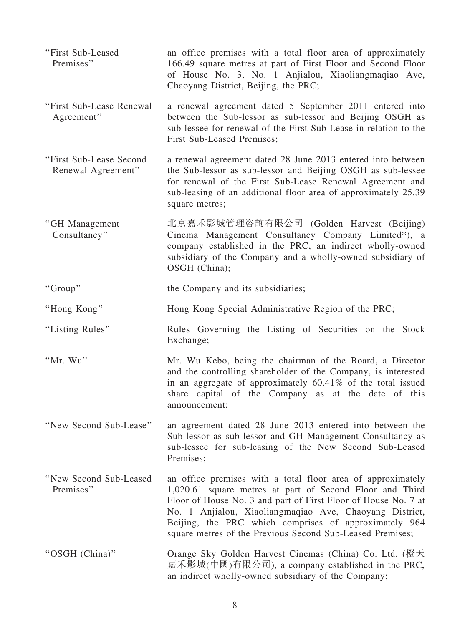| "First Sub-Leased<br>Premises"                | an office premises with a total floor area of approximately<br>166.49 square metres at part of First Floor and Second Floor<br>of House No. 3, No. 1 Anjialou, Xiaoliangmaqiao Ave,<br>Chaoyang District, Beijing, the PRC;                                                                                                                                                |
|-----------------------------------------------|----------------------------------------------------------------------------------------------------------------------------------------------------------------------------------------------------------------------------------------------------------------------------------------------------------------------------------------------------------------------------|
| "First Sub-Lease Renewal<br>Agreement"        | a renewal agreement dated 5 September 2011 entered into<br>between the Sub-lessor as sub-lessor and Beijing OSGH as<br>sub-lessee for renewal of the First Sub-Lease in relation to the<br>First Sub-Leased Premises;                                                                                                                                                      |
| "First Sub-Lease Second<br>Renewal Agreement" | a renewal agreement dated 28 June 2013 entered into between<br>the Sub-lessor as sub-lessor and Beijing OSGH as sub-lessee<br>for renewal of the First Sub-Lease Renewal Agreement and<br>sub-leasing of an additional floor area of approximately 25.39<br>square metres;                                                                                                 |
| "GH Management<br>Consultancy"                | 北京嘉禾影城管理咨詢有限公司 (Golden Harvest (Beijing)<br>Cinema Management Consultancy Company Limited*), a<br>company established in the PRC, an indirect wholly-owned<br>subsidiary of the Company and a wholly-owned subsidiary of<br>OSGH (China);                                                                                                                                  |
| "Group"                                       | the Company and its subsidiaries;                                                                                                                                                                                                                                                                                                                                          |
| "Hong Kong"                                   | Hong Kong Special Administrative Region of the PRC;                                                                                                                                                                                                                                                                                                                        |
| "Listing Rules"                               | Rules Governing the Listing of Securities on the Stock<br>Exchange;                                                                                                                                                                                                                                                                                                        |
| "Mr. Wu"                                      | Mr. Wu Kebo, being the chairman of the Board, a Director<br>and the controlling shareholder of the Company, is interested<br>in an aggregate of approximately $60.41\%$ of the total issued<br>share capital of the Company as at the date of this<br>announcement;                                                                                                        |
| "New Second Sub-Lease"                        | an agreement dated 28 June 2013 entered into between the<br>Sub-lessor as sub-lessor and GH Management Consultancy as<br>sub-lessee for sub-leasing of the New Second Sub-Leased<br>Premises;                                                                                                                                                                              |
| "New Second Sub-Leased<br>Premises"           | an office premises with a total floor area of approximately<br>1,020.61 square metres at part of Second Floor and Third<br>Floor of House No. 3 and part of First Floor of House No. 7 at<br>No. 1 Anjialou, Xiaoliangmaqiao Ave, Chaoyang District,<br>Beijing, the PRC which comprises of approximately 964<br>square metres of the Previous Second Sub-Leased Premises; |
| "OSGH (China)"                                | Orange Sky Golden Harvest Cinemas (China) Co. Ltd. (橙天<br>嘉禾影城(中國)有限公司), a company established in the PRC,<br>an indirect wholly-owned subsidiary of the Company;                                                                                                                                                                                                          |